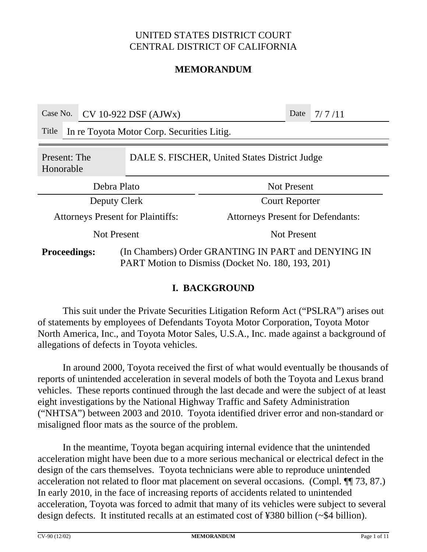### **MEMORANDUM**

| Case No.                                                                   |                                            | $CV 10-922$ DSF $(AJWx)$ |                                                                                                          |                                          | Date | 7/7/11 |
|----------------------------------------------------------------------------|--------------------------------------------|--------------------------|----------------------------------------------------------------------------------------------------------|------------------------------------------|------|--------|
| Title                                                                      | In re Toyota Motor Corp. Securities Litig. |                          |                                                                                                          |                                          |      |        |
| DALE S. FISCHER, United States District Judge<br>Present: The<br>Honorable |                                            |                          |                                                                                                          |                                          |      |        |
| Debra Plato                                                                |                                            |                          |                                                                                                          | <b>Not Present</b>                       |      |        |
| Deputy Clerk                                                               |                                            |                          |                                                                                                          | <b>Court Reporter</b>                    |      |        |
| <b>Attorneys Present for Plaintiffs:</b>                                   |                                            |                          |                                                                                                          | <b>Attorneys Present for Defendants:</b> |      |        |
| <b>Not Present</b>                                                         |                                            |                          |                                                                                                          | <b>Not Present</b>                       |      |        |
| <b>Proceedings:</b>                                                        |                                            |                          | (In Chambers) Order GRANTING IN PART and DENYING IN<br>PART Motion to Dismiss (Docket No. 180, 193, 201) |                                          |      |        |

#### **I. BACKGROUND**

This suit under the Private Securities Litigation Reform Act ("PSLRA") arises out of statements by employees of Defendants Toyota Motor Corporation, Toyota Motor North America, Inc., and Toyota Motor Sales, U.S.A., Inc. made against a background of allegations of defects in Toyota vehicles.

In around 2000, Toyota received the first of what would eventually be thousands of reports of unintended acceleration in several models of both the Toyota and Lexus brand vehicles. These reports continued through the last decade and were the subject of at least eight investigations by the National Highway Traffic and Safety Administration ("NHTSA") between 2003 and 2010. Toyota identified driver error and non-standard or misaligned floor mats as the source of the problem.

In the meantime, Toyota began acquiring internal evidence that the unintended acceleration might have been due to a more serious mechanical or electrical defect in the design of the cars themselves. Toyota technicians were able to reproduce unintended acceleration not related to floor mat placement on several occasions. (Compl. ¶¶ 73, 87.) In early 2010, in the face of increasing reports of accidents related to unintended acceleration, Toyota was forced to admit that many of its vehicles were subject to several design defects. It instituted recalls at an estimated cost of ¥380 billion (~\$4 billion).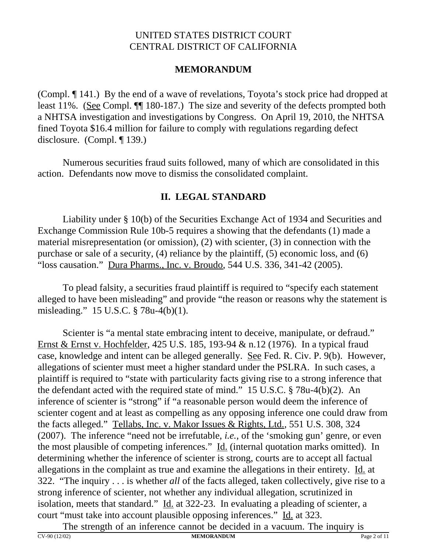## **MEMORANDUM**

(Compl. ¶ 141.) By the end of a wave of revelations, Toyota's stock price had dropped at least 11%. (See Compl.  $\P$  180-187.) The size and severity of the defects prompted both a NHTSA investigation and investigations by Congress. On April 19, 2010, the NHTSA fined Toyota \$16.4 million for failure to comply with regulations regarding defect disclosure. (Compl. ¶ 139.)

Numerous securities fraud suits followed, many of which are consolidated in this action. Defendants now move to dismiss the consolidated complaint.

## **II. LEGAL STANDARD**

Liability under § 10(b) of the Securities Exchange Act of 1934 and Securities and Exchange Commission Rule 10b-5 requires a showing that the defendants (1) made a material misrepresentation (or omission), (2) with scienter, (3) in connection with the purchase or sale of a security, (4) reliance by the plaintiff, (5) economic loss, and (6) "loss causation." Dura Pharms., Inc. v. Broudo, 544 U.S. 336, 341-42 (2005).

To plead falsity, a securities fraud plaintiff is required to "specify each statement alleged to have been misleading" and provide "the reason or reasons why the statement is misleading." 15 U.S.C. § 78u-4(b)(1).

Scienter is "a mental state embracing intent to deceive, manipulate, or defraud." Ernst & Ernst v. Hochfelder, 425 U.S. 185, 193-94 & n.12 (1976). In a typical fraud case, knowledge and intent can be alleged generally. See Fed. R. Civ. P. 9(b). However, allegations of scienter must meet a higher standard under the PSLRA. In such cases, a plaintiff is required to "state with particularity facts giving rise to a strong inference that the defendant acted with the required state of mind." 15 U.S.C. § 78u-4(b)(2). An inference of scienter is "strong" if "a reasonable person would deem the inference of scienter cogent and at least as compelling as any opposing inference one could draw from the facts alleged." Tellabs, Inc. v. Makor Issues & Rights, Ltd., 551 U.S. 308, 324 (2007). The inference "need not be irrefutable, *i.e.*, of the 'smoking gun' genre, or even the most plausible of competing inferences." Id. (internal quotation marks omitted). In determining whether the inference of scienter is strong, courts are to accept all factual allegations in the complaint as true and examine the allegations in their entirety. Id. at 322. "The inquiry . . . is whether *all* of the facts alleged, taken collectively, give rise to a strong inference of scienter, not whether any individual allegation, scrutinized in isolation, meets that standard."  $\underline{Id}$  at 322-23. In evaluating a pleading of scienter, a court "must take into account plausible opposing inferences." Id. at 323.

The strength of an inference cannot be decided in a vacuum. The inquiry is  $\frac{MPM}{P}$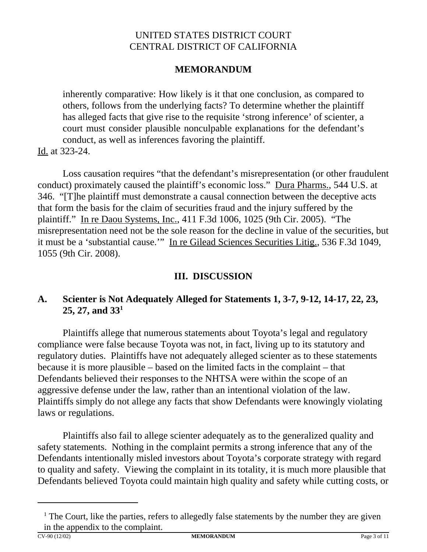## **MEMORANDUM**

inherently comparative: How likely is it that one conclusion, as compared to others, follows from the underlying facts? To determine whether the plaintiff has alleged facts that give rise to the requisite 'strong inference' of scienter, a court must consider plausible nonculpable explanations for the defendant's conduct, as well as inferences favoring the plaintiff.

Id. at 323-24.

Loss causation requires "that the defendant's misrepresentation (or other fraudulent conduct) proximately caused the plaintiff's economic loss." Dura Pharms., 544 U.S. at 346. "[T]he plaintiff must demonstrate a causal connection between the deceptive acts that form the basis for the claim of securities fraud and the injury suffered by the plaintiff." In re Daou Systems, Inc., 411 F.3d 1006, 1025 (9th Cir. 2005). "The misrepresentation need not be the sole reason for the decline in value of the securities, but it must be a 'substantial cause.'" In re Gilead Sciences Securities Litig., 536 F.3d 1049, 1055 (9th Cir. 2008).

## **III. DISCUSSION**

## **A. Scienter is Not Adequately Alleged for Statements 1, 3-7, 9-12, 14-17, 22, 23, 25, 27, and 331**

Plaintiffs allege that numerous statements about Toyota's legal and regulatory compliance were false because Toyota was not, in fact, living up to its statutory and regulatory duties. Plaintiffs have not adequately alleged scienter as to these statements because it is more plausible – based on the limited facts in the complaint – that Defendants believed their responses to the NHTSA were within the scope of an aggressive defense under the law, rather than an intentional violation of the law. Plaintiffs simply do not allege any facts that show Defendants were knowingly violating laws or regulations.

Plaintiffs also fail to allege scienter adequately as to the generalized quality and safety statements. Nothing in the complaint permits a strong inference that any of the Defendants intentionally misled investors about Toyota's corporate strategy with regard to quality and safety. Viewing the complaint in its totality, it is much more plausible that Defendants believed Toyota could maintain high quality and safety while cutting costs, or

<sup>&</sup>lt;sup>1</sup> The Court, like the parties, refers to allegedly false statements by the number they are given in the appendix to the complaint.<br> $\frac{1}{2}$  CV-90 (12/02)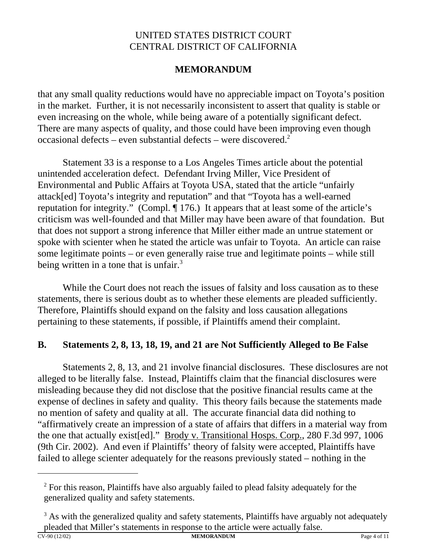# **MEMORANDUM**

that any small quality reductions would have no appreciable impact on Toyota's position in the market. Further, it is not necessarily inconsistent to assert that quality is stable or even increasing on the whole, while being aware of a potentially significant defect. There are many aspects of quality, and those could have been improving even though occasional defects – even substantial defects – were discovered.<sup>2</sup>

Statement 33 is a response to a Los Angeles Times article about the potential unintended acceleration defect. Defendant Irving Miller, Vice President of Environmental and Public Affairs at Toyota USA, stated that the article "unfairly attack[ed] Toyota's integrity and reputation" and that "Toyota has a well-earned reputation for integrity." (Compl. ¶ 176.) It appears that at least some of the article's criticism was well-founded and that Miller may have been aware of that foundation. But that does not support a strong inference that Miller either made an untrue statement or spoke with scienter when he stated the article was unfair to Toyota. An article can raise some legitimate points – or even generally raise true and legitimate points – while still being written in a tone that is unfair. $3$ 

While the Court does not reach the issues of falsity and loss causation as to these statements, there is serious doubt as to whether these elements are pleaded sufficiently. Therefore, Plaintiffs should expand on the falsity and loss causation allegations pertaining to these statements, if possible, if Plaintiffs amend their complaint.

# **B. Statements 2, 8, 13, 18, 19, and 21 are Not Sufficiently Alleged to Be False**

Statements 2, 8, 13, and 21 involve financial disclosures. These disclosures are not alleged to be literally false. Instead, Plaintiffs claim that the financial disclosures were misleading because they did not disclose that the positive financial results came at the expense of declines in safety and quality. This theory fails because the statements made no mention of safety and quality at all. The accurate financial data did nothing to "affirmatively create an impression of a state of affairs that differs in a material way from the one that actually exist[ed]." Brody v. Transitional Hosps. Corp., 280 F.3d 997, 1006 (9th Cir. 2002). And even if Plaintiffs' theory of falsity were accepted, Plaintiffs have failed to allege scienter adequately for the reasons previously stated – nothing in the

 $2^2$  For this reason, Plaintiffs have also arguably failed to plead falsity adequately for the generalized quality and safety statements.

<sup>&</sup>lt;sup>3</sup> As with the generalized quality and safety statements, Plaintiffs have arguably not adequately pleaded that Miller's statements in response to the article were actually false.<br>
MEMORANDUM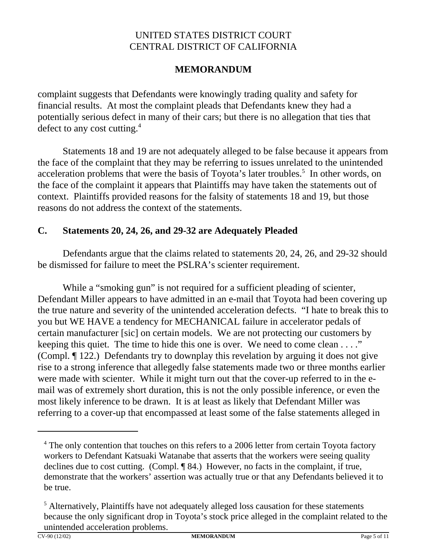# **MEMORANDUM**

complaint suggests that Defendants were knowingly trading quality and safety for financial results. At most the complaint pleads that Defendants knew they had a potentially serious defect in many of their cars; but there is no allegation that ties that defect to any cost cutting.<sup>4</sup>

Statements 18 and 19 are not adequately alleged to be false because it appears from the face of the complaint that they may be referring to issues unrelated to the unintended acceleration problems that were the basis of Toyota's later troubles.<sup>5</sup> In other words, on the face of the complaint it appears that Plaintiffs may have taken the statements out of context. Plaintiffs provided reasons for the falsity of statements 18 and 19, but those reasons do not address the context of the statements.

## **C. Statements 20, 24, 26, and 29-32 are Adequately Pleaded**

Defendants argue that the claims related to statements 20, 24, 26, and 29-32 should be dismissed for failure to meet the PSLRA's scienter requirement.

While a "smoking gun" is not required for a sufficient pleading of scienter, Defendant Miller appears to have admitted in an e-mail that Toyota had been covering up the true nature and severity of the unintended acceleration defects. "I hate to break this to you but WE HAVE a tendency for MECHANICAL failure in accelerator pedals of certain manufacturer [sic] on certain models. We are not protecting our customers by keeping this quiet. The time to hide this one is over. We need to come clean . . . ." (Compl. ¶ 122.) Defendants try to downplay this revelation by arguing it does not give rise to a strong inference that allegedly false statements made two or three months earlier were made with scienter. While it might turn out that the cover-up referred to in the email was of extremely short duration, this is not the only possible inference, or even the most likely inference to be drawn. It is at least as likely that Defendant Miller was referring to a cover-up that encompassed at least some of the false statements alleged in

<sup>&</sup>lt;sup>4</sup> The only contention that touches on this refers to a 2006 letter from certain Toyota factory workers to Defendant Katsuaki Watanabe that asserts that the workers were seeing quality declines due to cost cutting. (Compl. ¶ 84.) However, no facts in the complaint, if true, demonstrate that the workers' assertion was actually true or that any Defendants believed it to be true.

<sup>&</sup>lt;sup>5</sup> Alternatively, Plaintiffs have not adequately alleged loss causation for these statements because the only significant drop in Toyota's stock price alleged in the complaint related to the unintended acceleration problems.<br> $CV-90(12/02)$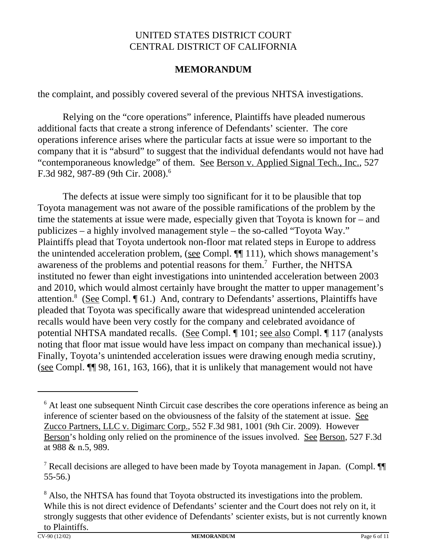## **MEMORANDUM**

the complaint, and possibly covered several of the previous NHTSA investigations.

Relying on the "core operations" inference, Plaintiffs have pleaded numerous additional facts that create a strong inference of Defendants' scienter. The core operations inference arises where the particular facts at issue were so important to the company that it is "absurd" to suggest that the individual defendants would not have had "contemporaneous knowledge" of them. See Berson v. Applied Signal Tech., Inc., 527 F.3d 982, 987-89 (9th Cir. 2008).<sup>6</sup>

The defects at issue were simply too significant for it to be plausible that top Toyota management was not aware of the possible ramifications of the problem by the time the statements at issue were made, especially given that Toyota is known for – and publicizes – a highly involved management style – the so-called "Toyota Way." Plaintiffs plead that Toyota undertook non-floor mat related steps in Europe to address the unintended acceleration problem, (see Compl. ¶[ 111), which shows management's awareness of the problems and potential reasons for them.<sup>7</sup> Further, the NHTSA instituted no fewer than eight investigations into unintended acceleration between 2003 and 2010, which would almost certainly have brought the matter to upper management's attention.<sup>8</sup> (See Compl. 161.) And, contrary to Defendants' assertions, Plaintiffs have pleaded that Toyota was specifically aware that widespread unintended acceleration recalls would have been very costly for the company and celebrated avoidance of potential NHTSA mandated recalls. (See Compl. ¶ 101; see also Compl. ¶ 117 (analysts noting that floor mat issue would have less impact on company than mechanical issue).) Finally, Toyota's unintended acceleration issues were drawing enough media scrutiny, (see Compl. ¶¶ 98, 161, 163, 166), that it is unlikely that management would not have

<sup>&</sup>lt;sup>6</sup> At least one subsequent Ninth Circuit case describes the core operations inference as being an inference of scienter based on the obviousness of the falsity of the statement at issue. See Zucco Partners, LLC v. Digimarc Corp., 552 F.3d 981, 1001 (9th Cir. 2009). However Berson's holding only relied on the prominence of the issues involved. See Berson, 527 F.3d at 988 & n.5, 989.

<sup>&</sup>lt;sup>7</sup> Recall decisions are alleged to have been made by Toyota management in Japan. (Compl.  $\P$ 55-56.)

<sup>&</sup>lt;sup>8</sup> Also, the NHTSA has found that Toyota obstructed its investigations into the problem. While this is not direct evidence of Defendants' scienter and the Court does not rely on it, it strongly suggests that other evidence of Defendants' scienter exists, but is not currently known to Plaintiffs.<br> $\frac{\text{cv-90 (12/02)}}{\text{cv-90 (12/02)}}$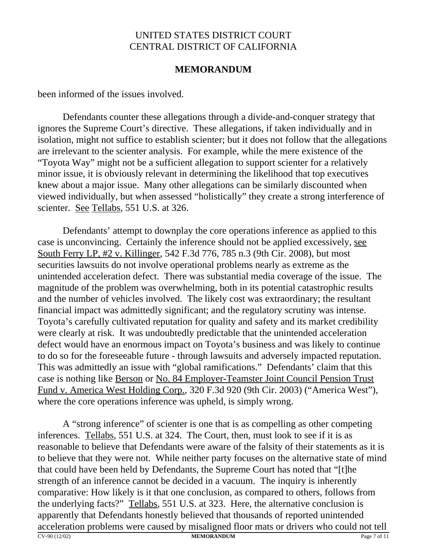### **MEMORANDUM**

been informed of the issues involved.

Defendants counter these allegations through a divide-and-conquer strategy that ignores the Supreme Court's directive. These allegations, if taken individually and in isolation, might not suffice to establish scienter; but it does not follow that the allegations are irrelevant to the scienter analysis. For example, while the mere existence of the "Toyota Way" might not be a sufficient allegation to support scienter for a relatively minor issue, it is obviously relevant in determining the likelihood that top executives knew about a major issue. Many other allegations can be similarly discounted when viewed individually, but when assessed "holistically" they create a strong interference of scienter. See Tellabs, 551 U.S. at 326.

Defendants' attempt to downplay the core operations inference as applied to this case is unconvincing. Certainly the inference should not be applied excessively, see South Ferry LP, #2 v. Killinger, 542 F.3d 776, 785 n.3 (9th Cir. 2008), but most securities lawsuits do not involve operational problems nearly as extreme as the unintended acceleration defect. There was substantial media coverage of the issue. The magnitude of the problem was overwhelming, both in its potential catastrophic results and the number of vehicles involved. The likely cost was extraordinary; the resultant financial impact was admittedly significant; and the regulatory scrutiny was intense. Toyota's carefully cultivated reputation for quality and safety and its market credibility were clearly at risk. It was undoubtedly predictable that the unintended acceleration defect would have an enormous impact on Toyota's business and was likely to continue to do so for the foreseeable future - through lawsuits and adversely impacted reputation. This was admittedly an issue with "global ramifications." Defendants' claim that this case is nothing like Berson or No. 84 Employer-Teamster Joint Council Pension Trust Fund v. America West Holding Corp., 320 F.3d 920 (9th Cir. 2003) ("America West"), where the core operations inference was upheld, is simply wrong.

CV-90 (12/02) **MEMORANDUM** Page 7 of 11 A "strong inference" of scienter is one that is as compelling as other competing inferences. Tellabs, 551 U.S. at 324. The Court, then, must look to see if it is as reasonable to believe that Defendants were aware of the falsity of their statements as it is to believe that they were not. While neither party focuses on the alternative state of mind that could have been held by Defendants, the Supreme Court has noted that "[t]he strength of an inference cannot be decided in a vacuum. The inquiry is inherently comparative: How likely is it that one conclusion, as compared to others, follows from the underlying facts?" Tellabs, 551 U.S. at 323. Here, the alternative conclusion is apparently that Defendants honestly believed that thousands of reported unintended acceleration problems were caused by misaligned floor mats or drivers who could not tell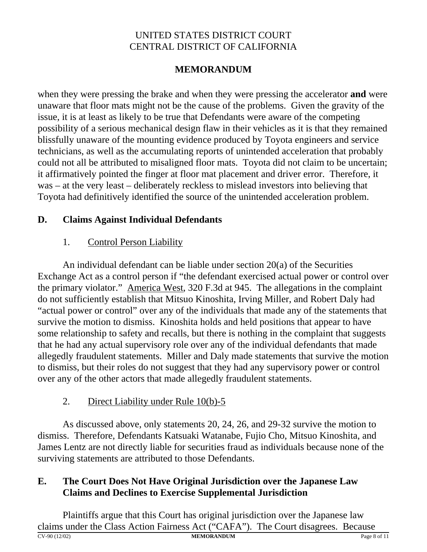# **MEMORANDUM**

when they were pressing the brake and when they were pressing the accelerator **and** were unaware that floor mats might not be the cause of the problems. Given the gravity of the issue, it is at least as likely to be true that Defendants were aware of the competing possibility of a serious mechanical design flaw in their vehicles as it is that they remained blissfully unaware of the mounting evidence produced by Toyota engineers and service technicians, as well as the accumulating reports of unintended acceleration that probably could not all be attributed to misaligned floor mats. Toyota did not claim to be uncertain; it affirmatively pointed the finger at floor mat placement and driver error. Therefore, it was – at the very least – deliberately reckless to mislead investors into believing that Toyota had definitively identified the source of the unintended acceleration problem.

## **D. Claims Against Individual Defendants**

## 1. Control Person Liability

An individual defendant can be liable under section 20(a) of the Securities Exchange Act as a control person if "the defendant exercised actual power or control over the primary violator." America West, 320 F.3d at 945. The allegations in the complaint do not sufficiently establish that Mitsuo Kinoshita, Irving Miller, and Robert Daly had "actual power or control" over any of the individuals that made any of the statements that survive the motion to dismiss. Kinoshita holds and held positions that appear to have some relationship to safety and recalls, but there is nothing in the complaint that suggests that he had any actual supervisory role over any of the individual defendants that made allegedly fraudulent statements. Miller and Daly made statements that survive the motion to dismiss, but their roles do not suggest that they had any supervisory power or control over any of the other actors that made allegedly fraudulent statements.

# 2. Direct Liability under Rule 10(b)-5

As discussed above, only statements 20, 24, 26, and 29-32 survive the motion to dismiss. Therefore, Defendants Katsuaki Watanabe, Fujio Cho, Mitsuo Kinoshita, and James Lentz are not directly liable for securities fraud as individuals because none of the surviving statements are attributed to those Defendants.

## **E. The Court Does Not Have Original Jurisdiction over the Japanese Law Claims and Declines to Exercise Supplemental Jurisdiction**

CV-90 (12/02) **MEMORANDUM** Page 8 of 11 Plaintiffs argue that this Court has original jurisdiction over the Japanese law claims under the Class Action Fairness Act ("CAFA"). The Court disagrees. Because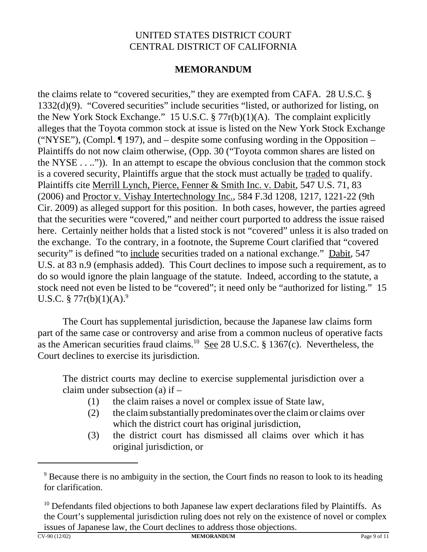## **MEMORANDUM**

the claims relate to "covered securities," they are exempted from CAFA. 28 U.S.C. § 1332(d)(9). "Covered securities" include securities "listed, or authorized for listing, on the New York Stock Exchange." 15 U.S.C.  $\S 77r(b)(1)(A)$ . The complaint explicitly alleges that the Toyota common stock at issue is listed on the New York Stock Exchange ("NYSE"), (Compl.  $\P$  197), and – despite some confusing wording in the Opposition – Plaintiffs do not now claim otherwise, (Opp. 30 ("Toyota common shares are listed on the NYSE . . ..")). In an attempt to escape the obvious conclusion that the common stock is a covered security, Plaintiffs argue that the stock must actually be traded to qualify. Plaintiffs cite Merrill Lynch, Pierce, Fenner & Smith Inc. v. Dabit, 547 U.S. 71, 83 (2006) and Proctor v. Vishay Intertechnology Inc., 584 F.3d 1208, 1217, 1221-22 (9th Cir. 2009) as alleged support for this position. In both cases, however, the parties agreed that the securities were "covered," and neither court purported to address the issue raised here. Certainly neither holds that a listed stock is not "covered" unless it is also traded on the exchange. To the contrary, in a footnote, the Supreme Court clarified that "covered security" is defined "to include securities traded on a national exchange." Dabit, 547 U.S. at 83 n.9 (emphasis added). This Court declines to impose such a requirement, as to do so would ignore the plain language of the statute. Indeed, according to the statute, a stock need not even be listed to be "covered"; it need only be "authorized for listing." 15 U.S.C. § 77r(b)(1)(A).<sup>9</sup>

The Court has supplemental jurisdiction, because the Japanese law claims form part of the same case or controversy and arise from a common nucleus of operative facts as the American securities fraud claims.<sup>10</sup> See 28 U.S.C. § 1367(c). Nevertheless, the Court declines to exercise its jurisdiction.

The district courts may decline to exercise supplemental jurisdiction over a claim under subsection (a) if –

- (1) the claim raises a novel or complex issue of State law,
- (2) the claim substantially predominates over the claim or claims over which the district court has original jurisdiction,
- (3) the district court has dismissed all claims over which it has original jurisdiction, or

<sup>&</sup>lt;sup>9</sup> Because there is no ambiguity in the section, the Court finds no reason to look to its heading for clarification.

 $10$  Defendants filed objections to both Japanese law expert declarations filed by Plaintiffs. As the Court's supplemental jurisdiction ruling does not rely on the existence of novel or complex issues of Japanese law, the Court declines to address those objections.<br>
MEMORANDUM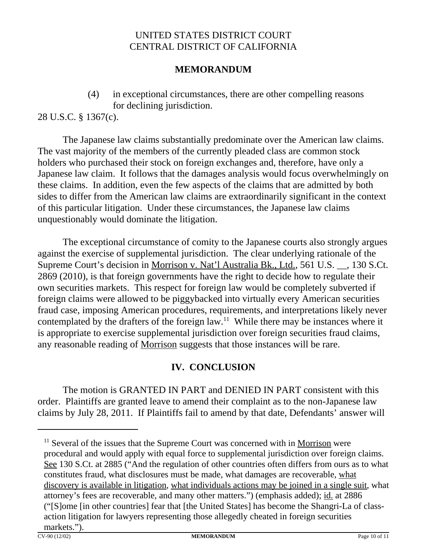## **MEMORANDUM**

(4) in exceptional circumstances, there are other compelling reasons for declining jurisdiction.

28 U.S.C. § 1367(c).

 The Japanese law claims substantially predominate over the American law claims. The vast majority of the members of the currently pleaded class are common stock holders who purchased their stock on foreign exchanges and, therefore, have only a Japanese law claim. It follows that the damages analysis would focus overwhelmingly on these claims. In addition, even the few aspects of the claims that are admitted by both sides to differ from the American law claims are extraordinarily significant in the context of this particular litigation. Under these circumstances, the Japanese law claims unquestionably would dominate the litigation.

The exceptional circumstance of comity to the Japanese courts also strongly argues against the exercise of supplemental jurisdiction. The clear underlying rationale of the Supreme Court's decision in Morrison v. Nat'l Australia Bk., Ltd., 561 U.S. \_\_, 130 S.Ct. 2869 (2010), is that foreign governments have the right to decide how to regulate their own securities markets. This respect for foreign law would be completely subverted if foreign claims were allowed to be piggybacked into virtually every American securities fraud case, imposing American procedures, requirements, and interpretations likely never contemplated by the drafters of the foreign law.<sup>11</sup> While there may be instances where it is appropriate to exercise supplemental jurisdiction over foreign securities fraud claims, any reasonable reading of Morrison suggests that those instances will be rare.

# **IV. CONCLUSION**

The motion is GRANTED IN PART and DENIED IN PART consistent with this order. Plaintiffs are granted leave to amend their complaint as to the non-Japanese law claims by July 28, 2011. If Plaintiffs fail to amend by that date, Defendants' answer will

 $11$  Several of the issues that the Supreme Court was concerned with in Morrison were procedural and would apply with equal force to supplemental jurisdiction over foreign claims. See 130 S.Ct. at 2885 ("And the regulation of other countries often differs from ours as to what constitutes fraud, what disclosures must be made, what damages are recoverable, what discovery is available in litigation, what individuals actions may be joined in a single suit, what attorney's fees are recoverable, and many other matters.") (emphasis added); id. at 2886 ("[S]ome [in other countries] fear that [the United States] has become the Shangri-La of classaction litigation for lawyers representing those allegedly cheated in foreign securities  $\frac{\text{markets."}}{\text{CV-90 (12/02)}}$